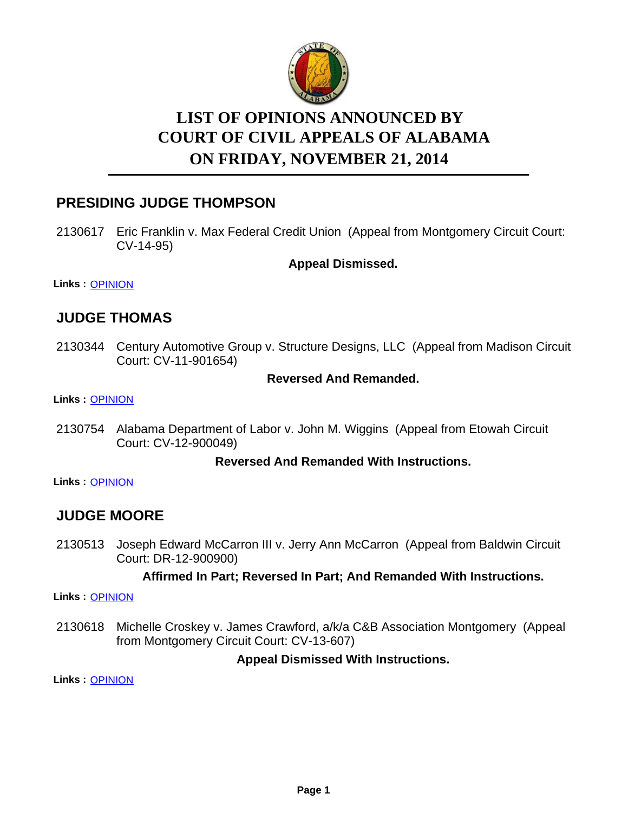

# **LIST OF OPINIONS ANNOUNCED BY ON FRIDAY, NOVEMBER 21, 2014 COURT OF CIVIL APPEALS OF ALABAMA**

# **PRESIDING JUDGE THOMPSON**

2130617 Eric Franklin v. Max Federal Credit Union (Appeal from Montgomery Circuit Court: CV-14-95)

**Appeal Dismissed.**

**Links :** [OPINION](https://acis.alabama.gov/displaydocs.cfm?no=621725&event=47R0KY8UR)

## **JUDGE THOMAS**

2130344 Century Automotive Group v. Structure Designs, LLC (Appeal from Madison Circuit Court: CV-11-901654)

#### **Reversed And Remanded.**

**Links :** [OPINION](https://acis.alabama.gov/displaydocs.cfm?no=621722&event=47R0KY6UF)

2130754 Alabama Department of Labor v. John M. Wiggins (Appeal from Etowah Circuit Court: CV-12-900049)

#### **Reversed And Remanded With Instructions.**

**Links :** [OPINION](https://acis.alabama.gov/displaydocs.cfm?no=621727&event=47R0KYA0S)

# **JUDGE MOORE**

2130513 Joseph Edward McCarron III v. Jerry Ann McCarron (Appeal from Baldwin Circuit Court: DR-12-900900)

#### **Affirmed In Part; Reversed In Part; And Remanded With Instructions.**

**Links :** [OPINION](https://acis.alabama.gov/displaydocs.cfm?no=621724&event=47R0KY7MZ)

2130618 Michelle Croskey v. James Crawford, a/k/a C&B Association Montgomery (Appeal from Montgomery Circuit Court: CV-13-607)

#### **Appeal Dismissed With Instructions.**

**Links :** [OPINION](https://acis.alabama.gov/displaydocs.cfm?no=621726&event=47R0KY9HB)